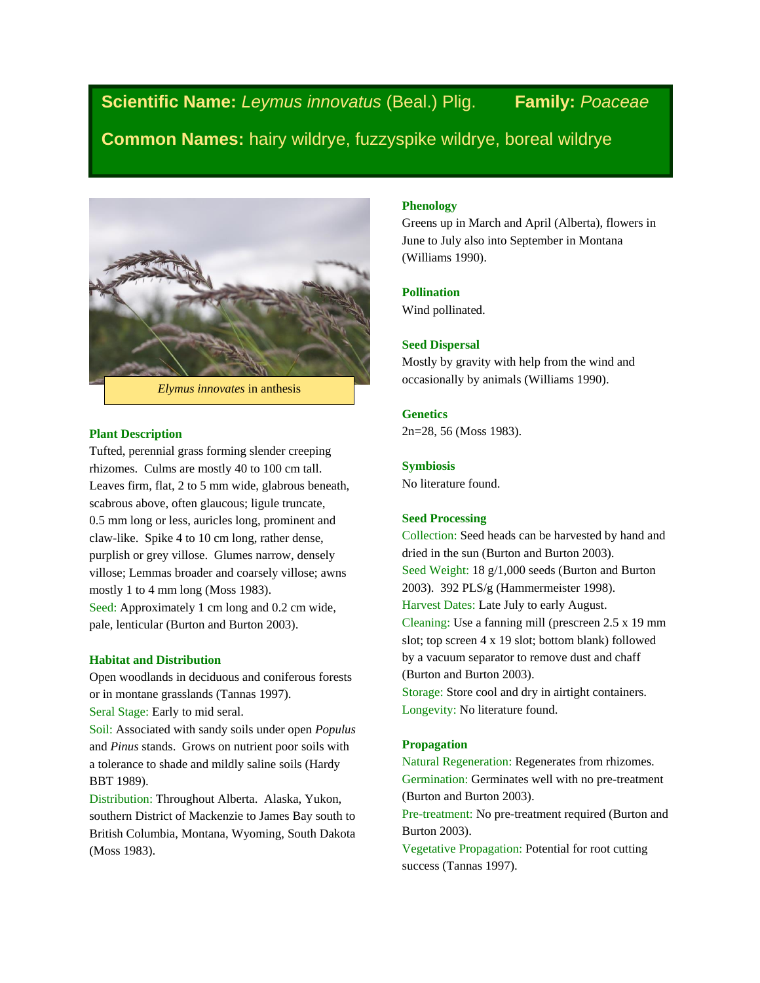**Scientific Name:** *Leymus innovatus* (Beal.) Plig. **Family:** *Poaceae*

**Common Names:** hairy wildrye, fuzzyspike wildrye, boreal wildrye



## **Plant Description**

Tufted, perennial grass forming slender creeping rhizomes. Culms are mostly 40 to 100 cm tall. Leaves firm, flat, 2 to 5 mm wide, glabrous beneath, scabrous above, often glaucous; ligule truncate, 0.5 mm long or less, auricles long, prominent and claw-like. Spike 4 to 10 cm long, rather dense, purplish or grey villose. Glumes narrow, densely villose; Lemmas broader and coarsely villose; awns mostly 1 to 4 mm long (Moss 1983). Seed: Approximately 1 cm long and 0.2 cm wide, pale, lenticular (Burton and Burton 2003).

## **Habitat and Distribution**

Open woodlands in deciduous and coniferous forests or in montane grasslands (Tannas 1997). Seral Stage: Early to mid seral. Soil: Associated with sandy soils under open *Populus* 

and *Pinus* stands. Grows on nutrient poor soils with a tolerance to shade and mildly saline soils (Hardy BBT 1989).

Distribution: Throughout Alberta. Alaska, Yukon, southern District of Mackenzie to James Bay south to British Columbia, Montana, Wyoming, South Dakota (Moss 1983).

# **Phenology**

Greens up in March and April (Alberta), flowers in June to July also into September in Montana (Williams 1990).

## **Pollination**

Wind pollinated.

## **Seed Dispersal**

Mostly by gravity with help from the wind and occasionally by animals (Williams 1990).

# **Genetics**

2n=28, 56 (Moss 1983).

#### **Symbiosis**

No literature found.

# **Seed Processing**

Collection: Seed heads can be harvested by hand and dried in the sun (Burton and Burton 2003). Seed Weight: 18 g/1,000 seeds (Burton and Burton 2003). 392 PLS/g (Hammermeister 1998). Harvest Dates: Late July to early August. Cleaning: Use a fanning mill (prescreen 2.5 x 19 mm slot; top screen 4 x 19 slot; bottom blank) followed by a vacuum separator to remove dust and chaff (Burton and Burton 2003). Storage: Store cool and dry in airtight containers. Longevity: No literature found.

#### **Propagation**

Natural Regeneration: Regenerates from rhizomes. Germination: Germinates well with no pre-treatment (Burton and Burton 2003).

Pre-treatment: No pre-treatment required (Burton and Burton 2003).

Vegetative Propagation: Potential for root cutting success (Tannas 1997).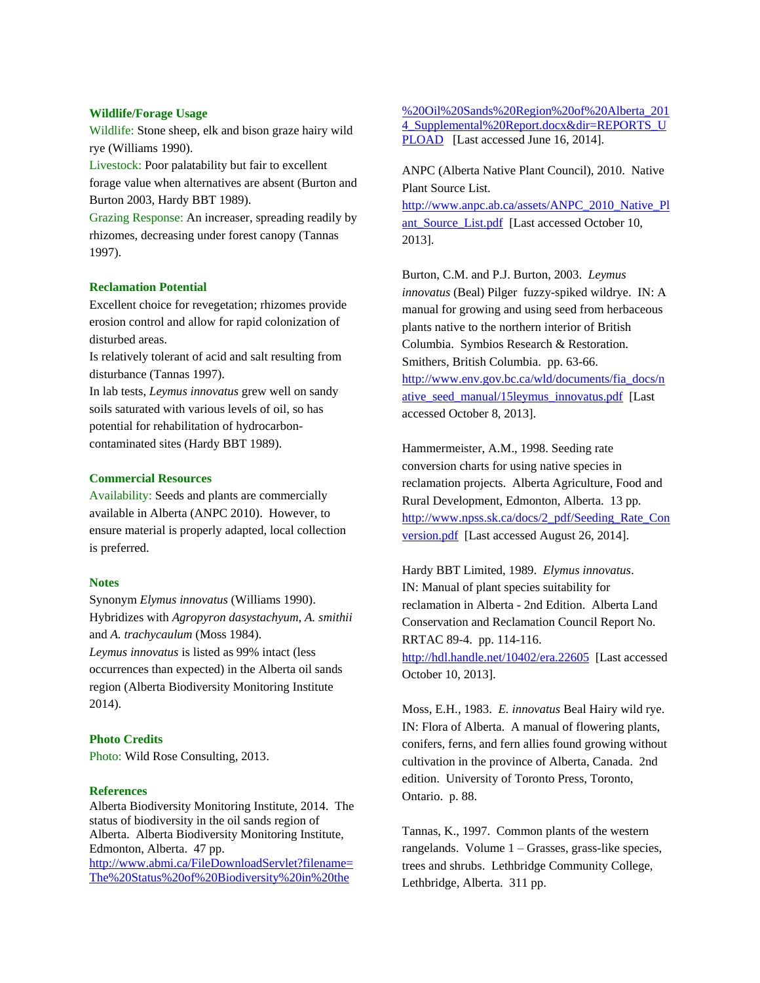## **Wildlife/Forage Usage**

Wildlife: Stone sheep, elk and bison graze hairy wild rye (Williams 1990).

Livestock: Poor palatability but fair to excellent forage value when alternatives are absent (Burton and Burton 2003, Hardy BBT 1989).

Grazing Response: An increaser, spreading readily by rhizomes, decreasing under forest canopy (Tannas 1997).

#### **Reclamation Potential**

Excellent choice for revegetation; rhizomes provide erosion control and allow for rapid colonization of disturbed areas.

Is relatively tolerant of acid and salt resulting from disturbance (Tannas 1997).

In lab tests, *Leymus innovatus* grew well on sandy soils saturated with various levels of oil, so has potential for rehabilitation of hydrocarboncontaminated sites (Hardy BBT 1989).

#### **Commercial Resources**

Availability: Seeds and plants are commercially available in Alberta (ANPC 2010). However, to ensure material is properly adapted, local collection is preferred.

#### **Notes**

Synonym *Elymus innovatus* (Williams 1990). Hybridizes with *Agropyron dasystachyum*, *A. smithii* and *A. trachycaulum* (Moss 1984). *Leymus innovatus* is listed as 99% intact (less occurrences than expected) in the Alberta oil sands region (Alberta Biodiversity Monitoring Institute 2014).

# **Photo Credits**

Photo: Wild Rose Consulting, 2013.

# **References**

Alberta Biodiversity Monitoring Institute, 2014. The status of biodiversity in the oil sands region of Alberta. Alberta Biodiversity Monitoring Institute, Edmonton, Alberta. 47 pp. [http://www.abmi.ca/FileDownloadServlet?filename=](http://www.abmi.ca/FileDownloadServlet?filename=The%20Status%20of%20Biodiversity%20in%20the%20Oil%20Sands%20Region%20of%20Alberta_2014_Supplemental%20Report.docx&dir=REPORTS_UPLOAD)

[The%20Status%20of%20Biodiversity%20in%20the](http://www.abmi.ca/FileDownloadServlet?filename=The%20Status%20of%20Biodiversity%20in%20the%20Oil%20Sands%20Region%20of%20Alberta_2014_Supplemental%20Report.docx&dir=REPORTS_UPLOAD)

[%20Oil%20Sands%20Region%20of%20Alberta\\_201](http://www.abmi.ca/FileDownloadServlet?filename=The%20Status%20of%20Biodiversity%20in%20the%20Oil%20Sands%20Region%20of%20Alberta_2014_Supplemental%20Report.docx&dir=REPORTS_UPLOAD) 4 Supplemental%20Report.docx&dir=REPORTS\_U [PLOAD](http://www.abmi.ca/FileDownloadServlet?filename=The%20Status%20of%20Biodiversity%20in%20the%20Oil%20Sands%20Region%20of%20Alberta_2014_Supplemental%20Report.docx&dir=REPORTS_UPLOAD) [Last accessed June 16, 2014].

ANPC (Alberta Native Plant Council), 2010. Native Plant Source List.

[http://www.anpc.ab.ca/assets/ANPC\\_2010\\_Native\\_Pl](http://www.anpc.ab.ca/assets/ANPC_2010_Native_Plant_Source_List.pdf) [ant\\_Source\\_List.pdf](http://www.anpc.ab.ca/assets/ANPC_2010_Native_Plant_Source_List.pdf) [Last accessed October 10, 2013].

Burton, C.M. and P.J. Burton, 2003. *Leymus innovatus* (Beal) Pilger fuzzy-spiked wildrye. IN: A manual for growing and using seed from herbaceous plants native to the northern interior of British Columbia. Symbios Research & Restoration. Smithers, British Columbia. pp. 63-66. [http://www.env.gov.bc.ca/wld/documents/fia\\_docs/n](http://www.env.gov.bc.ca/wld/documents/fia_docs/native_seed_manual/15leymus_innovatus.pdf) [ative\\_seed\\_manual/15leymus\\_innovatus.pdf](http://www.env.gov.bc.ca/wld/documents/fia_docs/native_seed_manual/15leymus_innovatus.pdf) [Last accessed October 8, 2013].

Hammermeister, A.M., 1998. Seeding rate conversion charts for using native species in reclamation projects. Alberta Agriculture, Food and Rural Development, Edmonton, Alberta. 13 pp. [http://www.npss.sk.ca/docs/2\\_pdf/Seeding\\_Rate\\_Con](http://www.npss.sk.ca/docs/2_pdf/Seeding_Rate_Conversion.pdf) [version.pdf](http://www.npss.sk.ca/docs/2_pdf/Seeding_Rate_Conversion.pdf) [Last accessed August 26, 2014].

Hardy BBT Limited, 1989. *Elymus innovatus*. IN: Manual of plant species suitability for reclamation in Alberta - 2nd Edition. Alberta Land Conservation and Reclamation Council Report No. RRTAC 89-4. pp. 114-116. <http://hdl.handle.net/10402/era.22605> [Last accessed October 10, 2013].

Moss, E.H., 1983. *E. innovatus* Beal Hairy wild rye. IN: Flora of Alberta. A manual of flowering plants, conifers, ferns, and fern allies found growing without cultivation in the province of Alberta, Canada. 2nd edition. University of Toronto Press, Toronto, Ontario. p. 88.

Tannas, K., 1997. Common plants of the western rangelands. Volume 1 – Grasses, grass-like species, trees and shrubs. Lethbridge Community College, Lethbridge, Alberta. 311 pp.